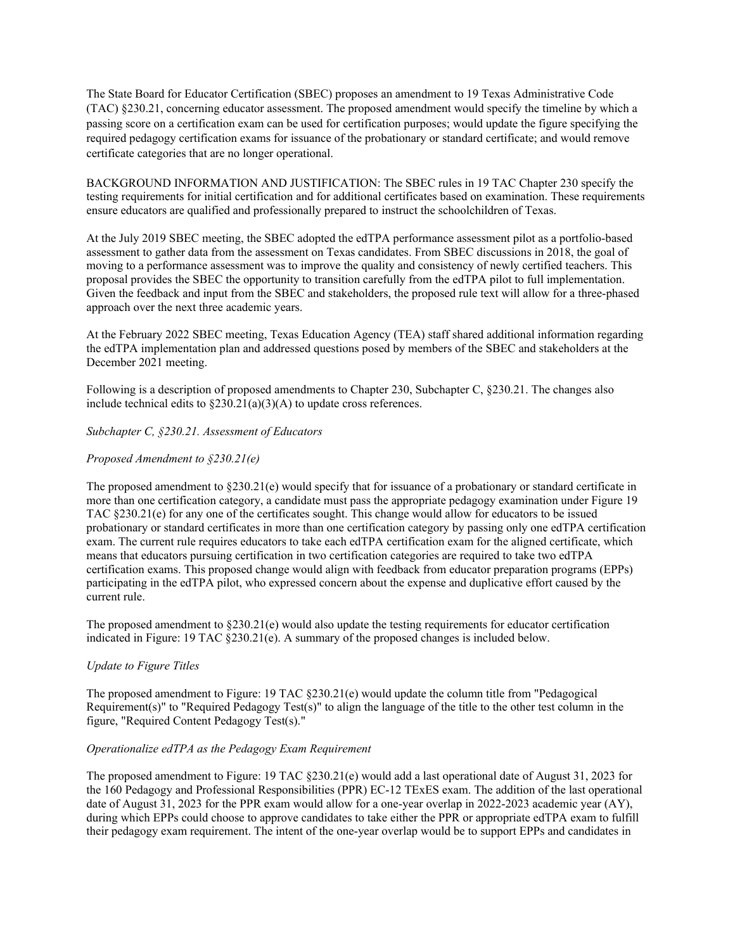The State Board for Educator Certification (SBEC) proposes an amendment to 19 Texas Administrative Code (TAC) §230.21, concerning educator assessment. The proposed amendment would specify the timeline by which a passing score on a certification exam can be used for certification purposes; would update the figure specifying the required pedagogy certification exams for issuance of the probationary or standard certificate; and would remove certificate categories that are no longer operational.

BACKGROUND INFORMATION AND JUSTIFICATION: The SBEC rules in 19 TAC Chapter 230 specify the testing requirements for initial certification and for additional certificates based on examination. These requirements ensure educators are qualified and professionally prepared to instruct the schoolchildren of Texas.

At the July 2019 SBEC meeting, the SBEC adopted the edTPA performance assessment pilot as a portfolio-based assessment to gather data from the assessment on Texas candidates. From SBEC discussions in 2018, the goal of moving to a performance assessment was to improve the quality and consistency of newly certified teachers. This proposal provides the SBEC the opportunity to transition carefully from the edTPA pilot to full implementation. Given the feedback and input from the SBEC and stakeholders, the proposed rule text will allow for a three-phased approach over the next three academic years.

At the February 2022 SBEC meeting, Texas Education Agency (TEA) staff shared additional information regarding the edTPA implementation plan and addressed questions posed by members of the SBEC and stakeholders at the December 2021 meeting.

Following is a description of proposed amendments to Chapter 230, Subchapter C, §230.21. The changes also include technical edits to  $\S230.21(a)(3)(A)$  to update cross references.

## *Subchapter C, §230.21. Assessment of Educators*

## *Proposed Amendment to §230.21(e)*

The proposed amendment to §230.21(e) would specify that for issuance of a probationary or standard certificate in more than one certification category, a candidate must pass the appropriate pedagogy examination under Figure 19 TAC §230.21(e) for any one of the certificates sought. This change would allow for educators to be issued probationary or standard certificates in more than one certification category by passing only one edTPA certification exam. The current rule requires educators to take each edTPA certification exam for the aligned certificate, which means that educators pursuing certification in two certification categories are required to take two edTPA certification exams. This proposed change would align with feedback from educator preparation programs (EPPs) participating in the edTPA pilot, who expressed concern about the expense and duplicative effort caused by the current rule.

The proposed amendment to  $\S 230.21(e)$  would also update the testing requirements for educator certification indicated in Figure: 19 TAC §230.21(e). A summary of the proposed changes is included below.

#### *Update to Figure Titles*

The proposed amendment to Figure: 19 TAC §230.21(e) would update the column title from "Pedagogical Requirement(s)" to "Required Pedagogy Test(s)" to align the language of the title to the other test column in the figure, "Required Content Pedagogy Test(s)."

#### *Operationalize edTPA as the Pedagogy Exam Requirement*

The proposed amendment to Figure: 19 TAC §230.21(e) would add a last operational date of August 31, 2023 for the 160 Pedagogy and Professional Responsibilities (PPR) EC-12 TExES exam. The addition of the last operational date of August 31, 2023 for the PPR exam would allow for a one-year overlap in 2022-2023 academic year (AY), during which EPPs could choose to approve candidates to take either the PPR or appropriate edTPA exam to fulfill their pedagogy exam requirement. The intent of the one-year overlap would be to support EPPs and candidates in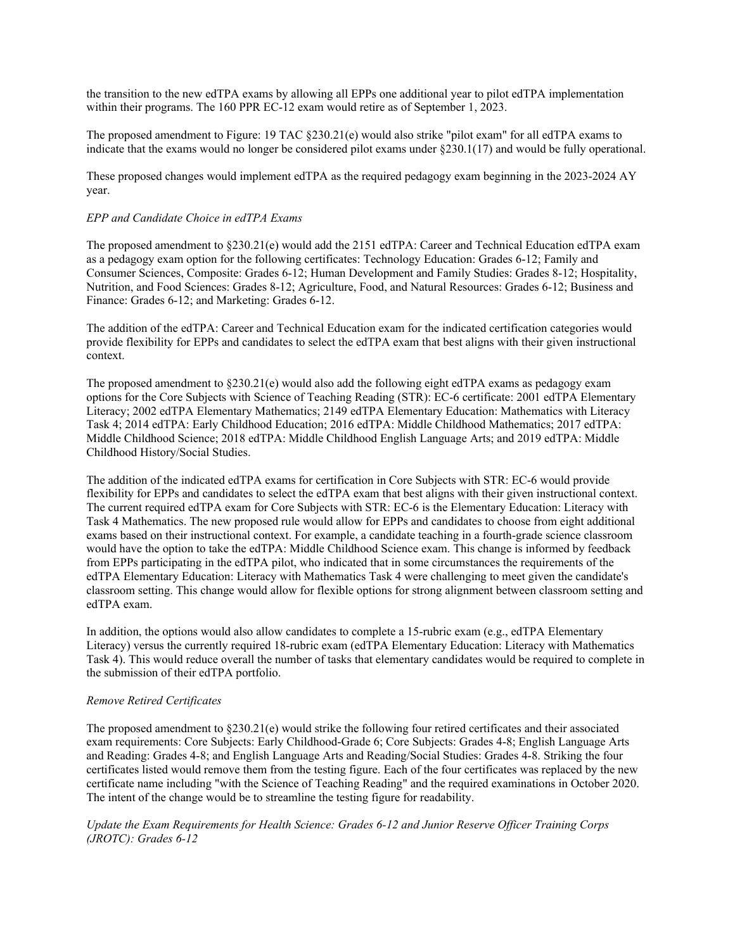the transition to the new edTPA exams by allowing all EPPs one additional year to pilot edTPA implementation within their programs. The 160 PPR EC-12 exam would retire as of September 1, 2023.

The proposed amendment to Figure: 19 TAC §230.21(e) would also strike "pilot exam" for all edTPA exams to indicate that the exams would no longer be considered pilot exams under  $\S 230.1(17)$  and would be fully operational.

These proposed changes would implement edTPA as the required pedagogy exam beginning in the 2023-2024 AY year.

#### *EPP and Candidate Choice in edTPA Exams*

The proposed amendment to §230.21(e) would add the 2151 edTPA: Career and Technical Education edTPA exam as a pedagogy exam option for the following certificates: Technology Education: Grades 6-12; Family and Consumer Sciences, Composite: Grades 6-12; Human Development and Family Studies: Grades 8-12; Hospitality, Nutrition, and Food Sciences: Grades 8-12; Agriculture, Food, and Natural Resources: Grades 6-12; Business and Finance: Grades 6-12; and Marketing: Grades 6-12.

The addition of the edTPA: Career and Technical Education exam for the indicated certification categories would provide flexibility for EPPs and candidates to select the edTPA exam that best aligns with their given instructional context.

The proposed amendment to  $\S 230.21(e)$  would also add the following eight edTPA exams as pedagogy exam options for the Core Subjects with Science of Teaching Reading (STR): EC-6 certificate: 2001 edTPA Elementary Literacy; 2002 edTPA Elementary Mathematics; 2149 edTPA Elementary Education: Mathematics with Literacy Task 4; 2014 edTPA: Early Childhood Education; 2016 edTPA: Middle Childhood Mathematics; 2017 edTPA: Middle Childhood Science; 2018 edTPA: Middle Childhood English Language Arts; and 2019 edTPA: Middle Childhood History/Social Studies.

The addition of the indicated edTPA exams for certification in Core Subjects with STR: EC-6 would provide flexibility for EPPs and candidates to select the edTPA exam that best aligns with their given instructional context. The current required edTPA exam for Core Subjects with STR: EC-6 is the Elementary Education: Literacy with Task 4 Mathematics. The new proposed rule would allow for EPPs and candidates to choose from eight additional exams based on their instructional context. For example, a candidate teaching in a fourth-grade science classroom would have the option to take the edTPA: Middle Childhood Science exam. This change is informed by feedback from EPPs participating in the edTPA pilot, who indicated that in some circumstances the requirements of the edTPA Elementary Education: Literacy with Mathematics Task 4 were challenging to meet given the candidate's classroom setting. This change would allow for flexible options for strong alignment between classroom setting and edTPA exam.

In addition, the options would also allow candidates to complete a 15-rubric exam (e.g., edTPA Elementary Literacy) versus the currently required 18-rubric exam (edTPA Elementary Education: Literacy with Mathematics Task 4). This would reduce overall the number of tasks that elementary candidates would be required to complete in the submission of their edTPA portfolio.

## *Remove Retired Certificates*

The proposed amendment to §230.21(e) would strike the following four retired certificates and their associated exam requirements: Core Subjects: Early Childhood-Grade 6; Core Subjects: Grades 4-8; English Language Arts and Reading: Grades 4-8; and English Language Arts and Reading/Social Studies: Grades 4-8. Striking the four certificates listed would remove them from the testing figure. Each of the four certificates was replaced by the new certificate name including "with the Science of Teaching Reading" and the required examinations in October 2020. The intent of the change would be to streamline the testing figure for readability.

*Update the Exam Requirements for Health Science: Grades 6-12 and Junior Reserve Officer Training Corps (JROTC): Grades 6-12*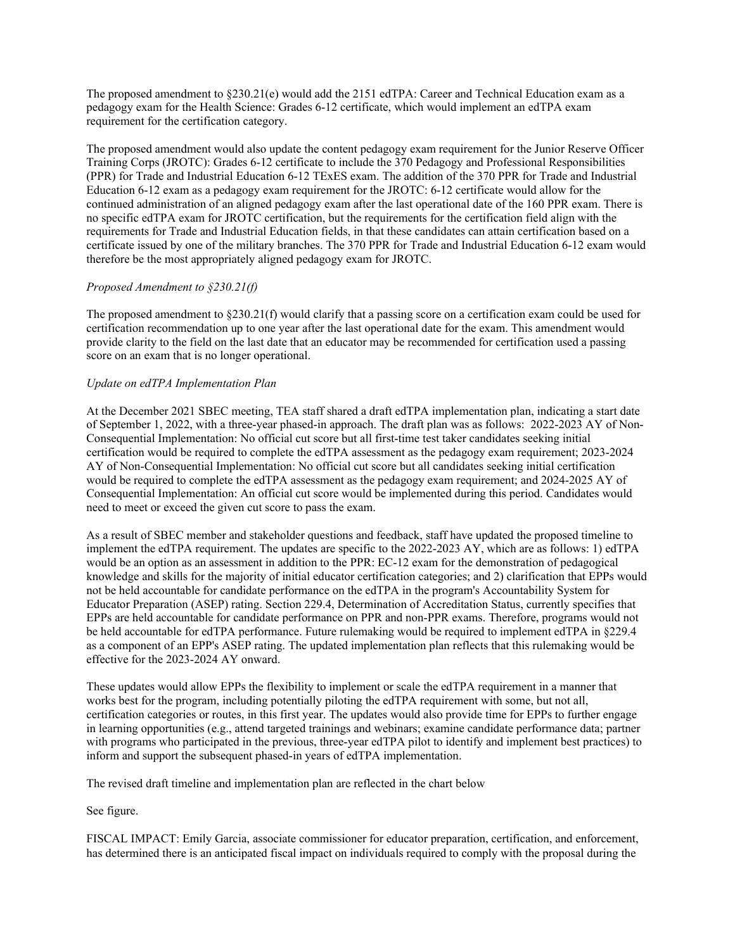The proposed amendment to §230.21(e) would add the 2151 edTPA: Career and Technical Education exam as a pedagogy exam for the Health Science: Grades 6-12 certificate, which would implement an edTPA exam requirement for the certification category.

The proposed amendment would also update the content pedagogy exam requirement for the Junior Reserve Officer Training Corps (JROTC): Grades 6-12 certificate to include the 370 Pedagogy and Professional Responsibilities (PPR) for Trade and Industrial Education 6-12 TExES exam. The addition of the 370 PPR for Trade and Industrial Education 6-12 exam as a pedagogy exam requirement for the JROTC: 6-12 certificate would allow for the continued administration of an aligned pedagogy exam after the last operational date of the 160 PPR exam. There is no specific edTPA exam for JROTC certification, but the requirements for the certification field align with the requirements for Trade and Industrial Education fields, in that these candidates can attain certification based on a certificate issued by one of the military branches. The 370 PPR for Trade and Industrial Education 6-12 exam would therefore be the most appropriately aligned pedagogy exam for JROTC.

# *Proposed Amendment to §230.21(f)*

The proposed amendment to §230.21(f) would clarify that a passing score on a certification exam could be used for certification recommendation up to one year after the last operational date for the exam. This amendment would provide clarity to the field on the last date that an educator may be recommended for certification used a passing score on an exam that is no longer operational.

## *Update on edTPA Implementation Plan*

At the December 2021 SBEC meeting, TEA staff shared a draft edTPA implementation plan, indicating a start date of September 1, 2022, with a three-year phased-in approach. The draft plan was as follows: 2022-2023 AY of Non-Consequential Implementation: No official cut score but all first-time test taker candidates seeking initial certification would be required to complete the edTPA assessment as the pedagogy exam requirement; 2023-2024 AY of Non-Consequential Implementation: No official cut score but all candidates seeking initial certification would be required to complete the edTPA assessment as the pedagogy exam requirement; and 2024-2025 AY of Consequential Implementation: An official cut score would be implemented during this period. Candidates would need to meet or exceed the given cut score to pass the exam.

As a result of SBEC member and stakeholder questions and feedback, staff have updated the proposed timeline to implement the edTPA requirement. The updates are specific to the 2022-2023 AY, which are as follows: 1) edTPA would be an option as an assessment in addition to the PPR: EC-12 exam for the demonstration of pedagogical knowledge and skills for the majority of initial educator certification categories; and 2) clarification that EPPs would not be held accountable for candidate performance on the edTPA in the program's Accountability System for Educator Preparation (ASEP) rating. Section 229.4, Determination of Accreditation Status, currently specifies that EPPs are held accountable for candidate performance on PPR and non-PPR exams. Therefore, programs would not be held accountable for edTPA performance. Future rulemaking would be required to implement edTPA in §229.4 as a component of an EPP's ASEP rating. The updated implementation plan reflects that this rulemaking would be effective for the 2023-2024 AY onward.

These updates would allow EPPs the flexibility to implement or scale the edTPA requirement in a manner that works best for the program, including potentially piloting the edTPA requirement with some, but not all, certification categories or routes, in this first year. The updates would also provide time for EPPs to further engage in learning opportunities (e.g., attend targeted trainings and webinars; examine candidate performance data; partner with programs who participated in the previous, three-year edTPA pilot to identify and implement best practices) to inform and support the subsequent phased-in years of edTPA implementation.

The revised draft timeline and implementation plan are reflected in the chart below

See figure.

FISCAL IMPACT: Emily Garcia, associate commissioner for educator preparation, certification, and enforcement, has determined there is an anticipated fiscal impact on individuals required to comply with the proposal during the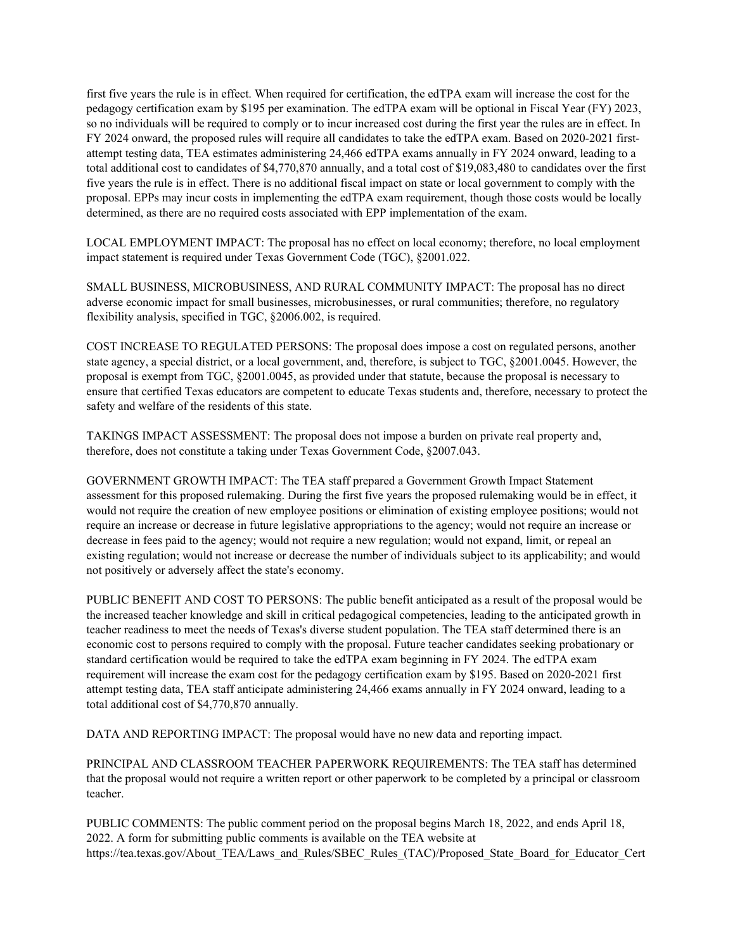first five years the rule is in effect. When required for certification, the edTPA exam will increase the cost for the pedagogy certification exam by \$195 per examination. The edTPA exam will be optional in Fiscal Year (FY) 2023, so no individuals will be required to comply or to incur increased cost during the first year the rules are in effect. In FY 2024 onward, the proposed rules will require all candidates to take the edTPA exam. Based on 2020-2021 firstattempt testing data, TEA estimates administering 24,466 edTPA exams annually in FY 2024 onward, leading to a total additional cost to candidates of \$4,770,870 annually, and a total cost of \$19,083,480 to candidates over the first five years the rule is in effect. There is no additional fiscal impact on state or local government to comply with the proposal. EPPs may incur costs in implementing the edTPA exam requirement, though those costs would be locally determined, as there are no required costs associated with EPP implementation of the exam.

LOCAL EMPLOYMENT IMPACT: The proposal has no effect on local economy; therefore, no local employment impact statement is required under Texas Government Code (TGC), §2001.022.

SMALL BUSINESS, MICROBUSINESS, AND RURAL COMMUNITY IMPACT: The proposal has no direct adverse economic impact for small businesses, microbusinesses, or rural communities; therefore, no regulatory flexibility analysis, specified in TGC, §2006.002, is required.

COST INCREASE TO REGULATED PERSONS: The proposal does impose a cost on regulated persons, another state agency, a special district, or a local government, and, therefore, is subject to TGC, §2001.0045. However, the proposal is exempt from TGC, §2001.0045, as provided under that statute, because the proposal is necessary to ensure that certified Texas educators are competent to educate Texas students and, therefore, necessary to protect the safety and welfare of the residents of this state.

TAKINGS IMPACT ASSESSMENT: The proposal does not impose a burden on private real property and, therefore, does not constitute a taking under Texas Government Code, §2007.043.

GOVERNMENT GROWTH IMPACT: The TEA staff prepared a Government Growth Impact Statement assessment for this proposed rulemaking. During the first five years the proposed rulemaking would be in effect, it would not require the creation of new employee positions or elimination of existing employee positions; would not require an increase or decrease in future legislative appropriations to the agency; would not require an increase or decrease in fees paid to the agency; would not require a new regulation; would not expand, limit, or repeal an existing regulation; would not increase or decrease the number of individuals subject to its applicability; and would not positively or adversely affect the state's economy.

PUBLIC BENEFIT AND COST TO PERSONS: The public benefit anticipated as a result of the proposal would be the increased teacher knowledge and skill in critical pedagogical competencies, leading to the anticipated growth in teacher readiness to meet the needs of Texas's diverse student population. The TEA staff determined there is an economic cost to persons required to comply with the proposal. Future teacher candidates seeking probationary or standard certification would be required to take the edTPA exam beginning in FY 2024. The edTPA exam requirement will increase the exam cost for the pedagogy certification exam by \$195. Based on 2020-2021 first attempt testing data, TEA staff anticipate administering 24,466 exams annually in FY 2024 onward, leading to a total additional cost of \$4,770,870 annually.

DATA AND REPORTING IMPACT: The proposal would have no new data and reporting impact.

PRINCIPAL AND CLASSROOM TEACHER PAPERWORK REQUIREMENTS: The TEA staff has determined that the proposal would not require a written report or other paperwork to be completed by a principal or classroom teacher.

PUBLIC COMMENTS: The public comment period on the proposal begins March 18, 2022, and ends April 18, 2022. A form for submitting public comments is available on the TEA website at https://tea.texas.gov/About\_TEA/Laws\_and\_Rules/SBEC\_Rules\_(TAC)/Proposed\_State\_Board\_for\_Educator\_Cert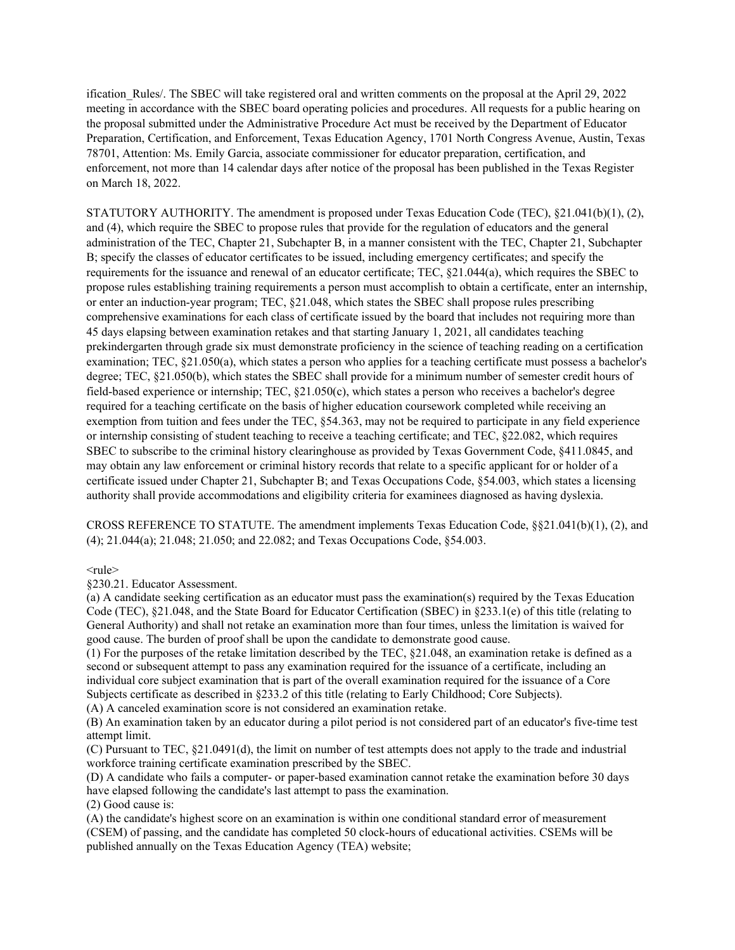ification Rules/. The SBEC will take registered oral and written comments on the proposal at the April 29, 2022 meeting in accordance with the SBEC board operating policies and procedures. All requests for a public hearing on the proposal submitted under the Administrative Procedure Act must be received by the Department of Educator Preparation, Certification, and Enforcement, Texas Education Agency, 1701 North Congress Avenue, Austin, Texas 78701, Attention: Ms. Emily Garcia, associate commissioner for educator preparation, certification, and enforcement, not more than 14 calendar days after notice of the proposal has been published in the Texas Register on March 18, 2022.

STATUTORY AUTHORITY. The amendment is proposed under Texas Education Code (TEC), §21.041(b)(1), (2), and (4), which require the SBEC to propose rules that provide for the regulation of educators and the general administration of the TEC, Chapter 21, Subchapter B, in a manner consistent with the TEC, Chapter 21, Subchapter B; specify the classes of educator certificates to be issued, including emergency certificates; and specify the requirements for the issuance and renewal of an educator certificate; TEC, §21.044(a), which requires the SBEC to propose rules establishing training requirements a person must accomplish to obtain a certificate, enter an internship, or enter an induction-year program; TEC, §21.048, which states the SBEC shall propose rules prescribing comprehensive examinations for each class of certificate issued by the board that includes not requiring more than 45 days elapsing between examination retakes and that starting January 1, 2021, all candidates teaching prekindergarten through grade six must demonstrate proficiency in the science of teaching reading on a certification examination; TEC, §21.050(a), which states a person who applies for a teaching certificate must possess a bachelor's degree; TEC, §21.050(b), which states the SBEC shall provide for a minimum number of semester credit hours of field-based experience or internship; TEC, §21.050(c), which states a person who receives a bachelor's degree required for a teaching certificate on the basis of higher education coursework completed while receiving an exemption from tuition and fees under the TEC, §54.363, may not be required to participate in any field experience or internship consisting of student teaching to receive a teaching certificate; and TEC, §22.082, which requires SBEC to subscribe to the criminal history clearinghouse as provided by Texas Government Code, §411.0845, and may obtain any law enforcement or criminal history records that relate to a specific applicant for or holder of a certificate issued under Chapter 21, Subchapter B; and Texas Occupations Code, §54.003, which states a licensing authority shall provide accommodations and eligibility criteria for examinees diagnosed as having dyslexia.

CROSS REFERENCE TO STATUTE. The amendment implements Texas Education Code,  $\S$ 21.041(b)(1), (2), and (4); 21.044(a); 21.048; 21.050; and 22.082; and Texas Occupations Code, §54.003.

 $<$ rule $>$ 

§230.21. Educator Assessment.

(a) A candidate seeking certification as an educator must pass the examination(s) required by the Texas Education Code (TEC),  $\S21.048$ , and the State Board for Educator Certification (SBEC) in  $\S233.1(e)$  of this title (relating to General Authority) and shall not retake an examination more than four times, unless the limitation is waived for good cause. The burden of proof shall be upon the candidate to demonstrate good cause.

(1) For the purposes of the retake limitation described by the TEC, §21.048, an examination retake is defined as a second or subsequent attempt to pass any examination required for the issuance of a certificate, including an individual core subject examination that is part of the overall examination required for the issuance of a Core Subjects certificate as described in §233.2 of this title (relating to Early Childhood; Core Subjects).

(A) A canceled examination score is not considered an examination retake.

(B) An examination taken by an educator during a pilot period is not considered part of an educator's five-time test attempt limit.

(C) Pursuant to TEC, §21.0491(d), the limit on number of test attempts does not apply to the trade and industrial workforce training certificate examination prescribed by the SBEC.

(D) A candidate who fails a computer- or paper-based examination cannot retake the examination before 30 days have elapsed following the candidate's last attempt to pass the examination.

(2) Good cause is:

(A) the candidate's highest score on an examination is within one conditional standard error of measurement (CSEM) of passing, and the candidate has completed 50 clock-hours of educational activities. CSEMs will be published annually on the Texas Education Agency (TEA) website;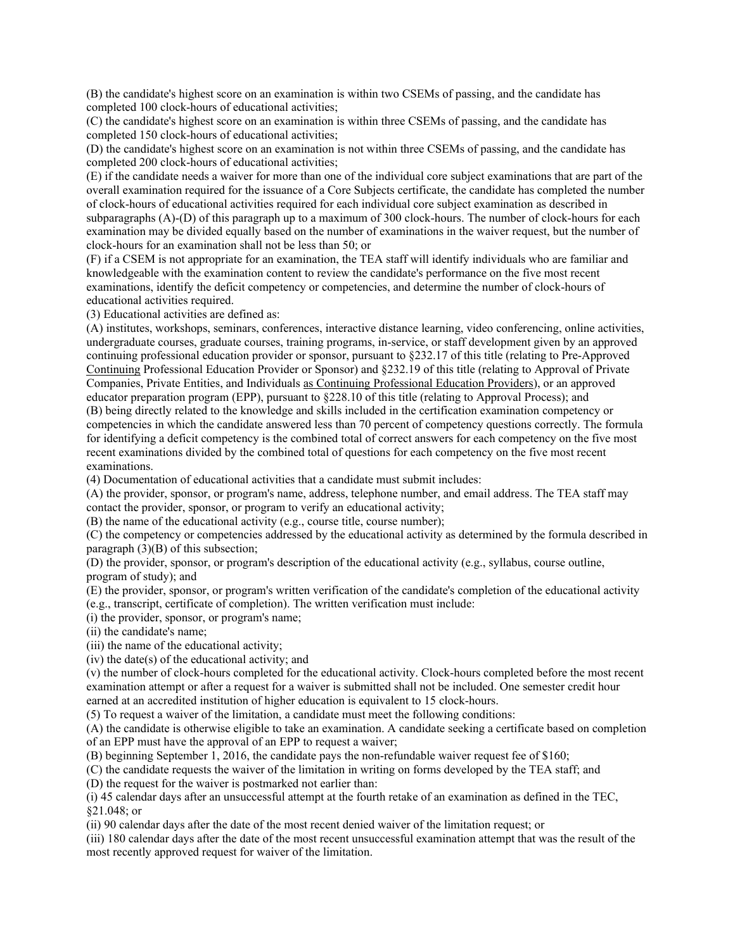(B) the candidate's highest score on an examination is within two CSEMs of passing, and the candidate has completed 100 clock-hours of educational activities;

(C) the candidate's highest score on an examination is within three CSEMs of passing, and the candidate has completed 150 clock-hours of educational activities;

(D) the candidate's highest score on an examination is not within three CSEMs of passing, and the candidate has completed 200 clock-hours of educational activities;

(E) if the candidate needs a waiver for more than one of the individual core subject examinations that are part of the overall examination required for the issuance of a Core Subjects certificate, the candidate has completed the number of clock-hours of educational activities required for each individual core subject examination as described in subparagraphs (A)-(D) of this paragraph up to a maximum of 300 clock-hours. The number of clock-hours for each examination may be divided equally based on the number of examinations in the waiver request, but the number of clock-hours for an examination shall not be less than 50; or

(F) if a CSEM is not appropriate for an examination, the TEA staff will identify individuals who are familiar and knowledgeable with the examination content to review the candidate's performance on the five most recent examinations, identify the deficit competency or competencies, and determine the number of clock-hours of educational activities required.

(3) Educational activities are defined as:

(A) institutes, workshops, seminars, conferences, interactive distance learning, video conferencing, online activities, undergraduate courses, graduate courses, training programs, in-service, or staff development given by an approved continuing professional education provider or sponsor, pursuant to §232.17 of this title (relating to Pre-Approved Continuing Professional Education Provider or Sponsor) and §232.19 of this title (relating to Approval of Private Companies, Private Entities, and Individuals as Continuing Professional Education Providers), or an approved educator preparation program (EPP), pursuant to §228.10 of this title (relating to Approval Process); and (B) being directly related to the knowledge and skills included in the certification examination competency or competencies in which the candidate answered less than 70 percent of competency questions correctly. The formula for identifying a deficit competency is the combined total of correct answers for each competency on the five most recent examinations divided by the combined total of questions for each competency on the five most recent examinations.

(4) Documentation of educational activities that a candidate must submit includes:

(A) the provider, sponsor, or program's name, address, telephone number, and email address. The TEA staff may contact the provider, sponsor, or program to verify an educational activity;

(B) the name of the educational activity (e.g., course title, course number);

(C) the competency or competencies addressed by the educational activity as determined by the formula described in paragraph (3)(B) of this subsection;

(D) the provider, sponsor, or program's description of the educational activity (e.g., syllabus, course outline, program of study); and

(E) the provider, sponsor, or program's written verification of the candidate's completion of the educational activity (e.g., transcript, certificate of completion). The written verification must include:

(i) the provider, sponsor, or program's name;

(ii) the candidate's name;

(iii) the name of the educational activity;

(iv) the date(s) of the educational activity; and

(v) the number of clock-hours completed for the educational activity. Clock-hours completed before the most recent examination attempt or after a request for a waiver is submitted shall not be included. One semester credit hour earned at an accredited institution of higher education is equivalent to 15 clock-hours.

(5) To request a waiver of the limitation, a candidate must meet the following conditions:

(A) the candidate is otherwise eligible to take an examination. A candidate seeking a certificate based on completion of an EPP must have the approval of an EPP to request a waiver;

(B) beginning September 1, 2016, the candidate pays the non-refundable waiver request fee of \$160;

(C) the candidate requests the waiver of the limitation in writing on forms developed by the TEA staff; and

(D) the request for the waiver is postmarked not earlier than:

(i) 45 calendar days after an unsuccessful attempt at the fourth retake of an examination as defined in the TEC, §21.048; or

(ii) 90 calendar days after the date of the most recent denied waiver of the limitation request; or

(iii) 180 calendar days after the date of the most recent unsuccessful examination attempt that was the result of the most recently approved request for waiver of the limitation.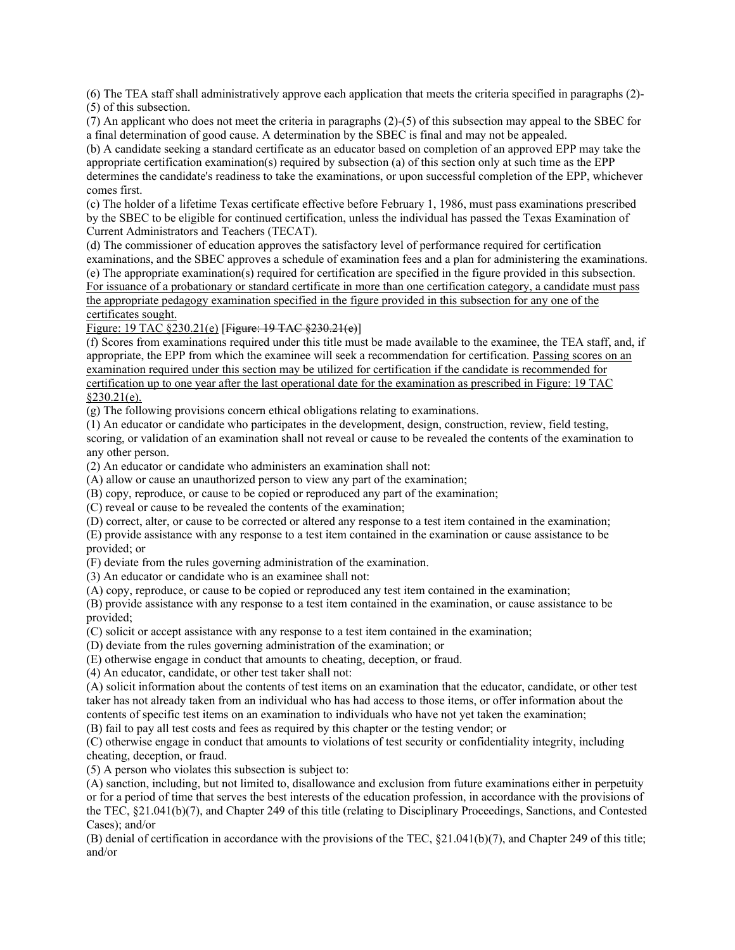(6) The TEA staff shall administratively approve each application that meets the criteria specified in paragraphs (2)- (5) of this subsection.

(7) An applicant who does not meet the criteria in paragraphs (2)-(5) of this subsection may appeal to the SBEC for a final determination of good cause. A determination by the SBEC is final and may not be appealed.

(b) A candidate seeking a standard certificate as an educator based on completion of an approved EPP may take the appropriate certification examination(s) required by subsection (a) of this section only at such time as the EPP determines the candidate's readiness to take the examinations, or upon successful completion of the EPP, whichever comes first.

(c) The holder of a lifetime Texas certificate effective before February 1, 1986, must pass examinations prescribed by the SBEC to be eligible for continued certification, unless the individual has passed the Texas Examination of Current Administrators and Teachers (TECAT).

(d) The commissioner of education approves the satisfactory level of performance required for certification

examinations, and the SBEC approves a schedule of examination fees and a plan for administering the examinations. (e) The appropriate examination(s) required for certification are specified in the figure provided in this subsection. For issuance of a probationary or standard certificate in more than one certification category, a candidate must pass the appropriate pedagogy examination specified in the figure provided in this subsection for any one of the certificates sought.

Figure: 19 TAC §230.21(e) [Figure: 19 TAC §230.21(e)]

(f) Scores from examinations required under this title must be made available to the examinee, the TEA staff, and, if appropriate, the EPP from which the examinee will seek a recommendation for certification. Passing scores on an examination required under this section may be utilized for certification if the candidate is recommended for certification up to one year after the last operational date for the examination as prescribed in Figure: 19 TAC  $§230.21(e).$ 

(g) The following provisions concern ethical obligations relating to examinations.

(1) An educator or candidate who participates in the development, design, construction, review, field testing, scoring, or validation of an examination shall not reveal or cause to be revealed the contents of the examination to any other person.

(2) An educator or candidate who administers an examination shall not:

(A) allow or cause an unauthorized person to view any part of the examination;

(B) copy, reproduce, or cause to be copied or reproduced any part of the examination;

(C) reveal or cause to be revealed the contents of the examination;

(D) correct, alter, or cause to be corrected or altered any response to a test item contained in the examination;

(E) provide assistance with any response to a test item contained in the examination or cause assistance to be provided; or

(F) deviate from the rules governing administration of the examination.

(3) An educator or candidate who is an examinee shall not:

(A) copy, reproduce, or cause to be copied or reproduced any test item contained in the examination;

(B) provide assistance with any response to a test item contained in the examination, or cause assistance to be provided;

(C) solicit or accept assistance with any response to a test item contained in the examination;

(D) deviate from the rules governing administration of the examination; or

(E) otherwise engage in conduct that amounts to cheating, deception, or fraud.

(4) An educator, candidate, or other test taker shall not:

(A) solicit information about the contents of test items on an examination that the educator, candidate, or other test taker has not already taken from an individual who has had access to those items, or offer information about the contents of specific test items on an examination to individuals who have not yet taken the examination;

(B) fail to pay all test costs and fees as required by this chapter or the testing vendor; or

(C) otherwise engage in conduct that amounts to violations of test security or confidentiality integrity, including cheating, deception, or fraud.

(5) A person who violates this subsection is subject to:

(A) sanction, including, but not limited to, disallowance and exclusion from future examinations either in perpetuity or for a period of time that serves the best interests of the education profession, in accordance with the provisions of the TEC, §21.041(b)(7), and Chapter 249 of this title (relating to Disciplinary Proceedings, Sanctions, and Contested Cases); and/or

(B) denial of certification in accordance with the provisions of the TEC, §21.041(b)(7), and Chapter 249 of this title; and/or